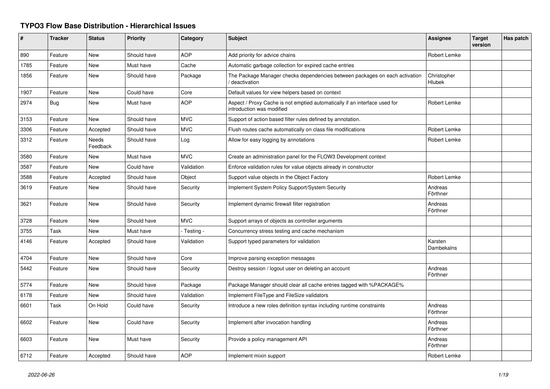## **TYPO3 Flow Base Distribution - Hierarchical Issues**

| ∦    | <b>Tracker</b> | <b>Status</b>     | <b>Priority</b> | Category    | <b>Subject</b>                                                                                          | Assignee              | <b>Target</b><br>version | Has patch |
|------|----------------|-------------------|-----------------|-------------|---------------------------------------------------------------------------------------------------------|-----------------------|--------------------------|-----------|
| 890  | Feature        | <b>New</b>        | Should have     | <b>AOP</b>  | Add priority for advice chains                                                                          | Robert Lemke          |                          |           |
| 1785 | Feature        | New               | Must have       | Cache       | Automatic garbage collection for expired cache entries                                                  |                       |                          |           |
| 1856 | Feature        | <b>New</b>        | Should have     | Package     | The Package Manager checks dependencies between packages on each activation<br>deactivation             | Christopher<br>Hlubek |                          |           |
| 1907 | Feature        | <b>New</b>        | Could have      | Core        | Default values for view helpers based on context                                                        |                       |                          |           |
| 2974 | Bug            | New               | Must have       | AOP         | Aspect / Proxy Cache is not emptied automatically if an interface used for<br>introduction was modified | <b>Robert Lemke</b>   |                          |           |
| 3153 | Feature        | New               | Should have     | <b>MVC</b>  | Support of action based filter rules defined by annotation.                                             |                       |                          |           |
| 3306 | Feature        | Accepted          | Should have     | <b>MVC</b>  | Flush routes cache automatically on class file modifications                                            | Robert Lemke          |                          |           |
| 3312 | Feature        | Needs<br>Feedback | Should have     | Log         | Allow for easy logging by annotations                                                                   | Robert Lemke          |                          |           |
| 3580 | Feature        | New               | Must have       | <b>MVC</b>  | Create an administration panel for the FLOW3 Development context                                        |                       |                          |           |
| 3587 | Feature        | <b>New</b>        | Could have      | Validation  | Enforce validation rules for value objects already in constructor                                       |                       |                          |           |
| 3588 | Feature        | Accepted          | Should have     | Object      | Support value objects in the Object Factory                                                             | Robert Lemke          |                          |           |
| 3619 | Feature        | <b>New</b>        | Should have     | Security    | Implement System Policy Support/System Security                                                         | Andreas<br>Förthner   |                          |           |
| 3621 | Feature        | <b>New</b>        | Should have     | Security    | Implement dynamic firewall filter registration                                                          | Andreas<br>Förthner   |                          |           |
| 3728 | Feature        | <b>New</b>        | Should have     | <b>MVC</b>  | Support arrays of objects as controller arguments                                                       |                       |                          |           |
| 3755 | Task           | New               | Must have       | - Testing - | Concurrency stress testing and cache mechanism                                                          |                       |                          |           |
| 4146 | Feature        | Accepted          | Should have     | Validation  | Support typed parameters for validation                                                                 | Karsten<br>Dambekalns |                          |           |
| 4704 | Feature        | New               | Should have     | Core        | Improve parsing exception messages                                                                      |                       |                          |           |
| 5442 | Feature        | <b>New</b>        | Should have     | Security    | Destroy session / logout user on deleting an account                                                    | Andreas<br>Förthner   |                          |           |
| 5774 | Feature        | New               | Should have     | Package     | Package Manager should clear all cache entries tagged with %PACKAGE%                                    |                       |                          |           |
| 6178 | Feature        | New               | Should have     | Validation  | Implement FileType and FileSize validators                                                              |                       |                          |           |
| 6601 | Task           | On Hold           | Could have      | Security    | Introduce a new roles definition syntax including runtime constraints                                   | Andreas<br>Förthner   |                          |           |
| 6602 | Feature        | New               | Could have      | Security    | Implement after invocation handling                                                                     | Andreas<br>Förthner   |                          |           |
| 6603 | Feature        | <b>New</b>        | Must have       | Security    | Provide a policy management API                                                                         | Andreas<br>Förthner   |                          |           |
| 6712 | Feature        | Accepted          | Should have     | <b>AOP</b>  | Implement mixin support                                                                                 | <b>Robert Lemke</b>   |                          |           |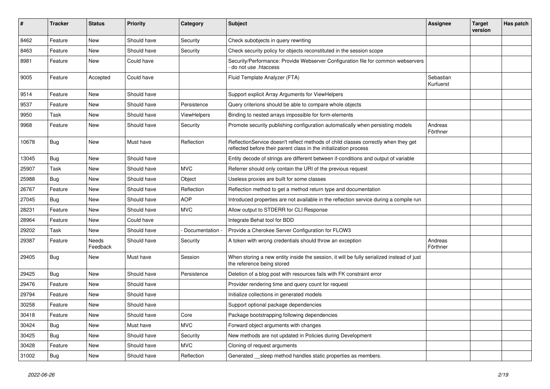| #     | <b>Tracker</b> | <b>Status</b>            | <b>Priority</b> | Category           | <b>Subject</b>                                                                                                                                          | Assignee               | <b>Target</b><br>version | Has patch |
|-------|----------------|--------------------------|-----------------|--------------------|---------------------------------------------------------------------------------------------------------------------------------------------------------|------------------------|--------------------------|-----------|
| 8462  | Feature        | <b>New</b>               | Should have     | Security           | Check subobjects in query rewriting                                                                                                                     |                        |                          |           |
| 8463  | Feature        | New                      | Should have     | Security           | Check security policy for objects reconstituted in the session scope                                                                                    |                        |                          |           |
| 8981  | Feature        | New                      | Could have      |                    | Security/Performance: Provide Webserver Configuration file for common webservers<br>do not use .htaccess                                                |                        |                          |           |
| 9005  | Feature        | Accepted                 | Could have      |                    | Fluid Template Analyzer (FTA)                                                                                                                           | Sebastian<br>Kurfuerst |                          |           |
| 9514  | Feature        | New                      | Should have     |                    | Support explicit Array Arguments for ViewHelpers                                                                                                        |                        |                          |           |
| 9537  | Feature        | <b>New</b>               | Should have     | Persistence        | Query criterions should be able to compare whole objects                                                                                                |                        |                          |           |
| 9950  | Task           | <b>New</b>               | Should have     | <b>ViewHelpers</b> | Binding to nested arrays impossible for form-elements                                                                                                   |                        |                          |           |
| 9968  | Feature        | New                      | Should have     | Security           | Promote security publishing configuration automatically when persisting models                                                                          | Andreas<br>Förthner    |                          |           |
| 10678 | Bug            | <b>New</b>               | Must have       | Reflection         | ReflectionService doesn't reflect methods of child classes correctly when they get<br>reflected before their parent class in the initialization process |                        |                          |           |
| 13045 | Bug            | New                      | Should have     |                    | Entity decode of strings are different between if-conditions and output of variable                                                                     |                        |                          |           |
| 25907 | Task           | New                      | Should have     | <b>MVC</b>         | Referrer should only contain the URI of the previous request                                                                                            |                        |                          |           |
| 25988 | Bug            | New                      | Should have     | Object             | Useless proxies are built for some classes                                                                                                              |                        |                          |           |
| 26767 | Feature        | New                      | Should have     | Reflection         | Reflection method to get a method return type and documentation                                                                                         |                        |                          |           |
| 27045 | <b>Bug</b>     | New                      | Should have     | <b>AOP</b>         | Introduced properties are not available in the reflection service during a compile run                                                                  |                        |                          |           |
| 28231 | Feature        | New                      | Should have     | <b>MVC</b>         | Allow output to STDERR for CLI Response                                                                                                                 |                        |                          |           |
| 28964 | Feature        | New                      | Could have      |                    | Integrate Behat tool for BDD                                                                                                                            |                        |                          |           |
| 29202 | Task           | New                      | Should have     | Documentation -    | Provide a Cherokee Server Configuration for FLOW3                                                                                                       |                        |                          |           |
| 29387 | Feature        | <b>Needs</b><br>Feedback | Should have     | Security           | A token with wrong credentials should throw an exception                                                                                                | Andreas<br>Förthner    |                          |           |
| 29405 | <b>Bug</b>     | <b>New</b>               | Must have       | Session            | When storing a new entity inside the session, it will be fully serialized instead of just<br>the reference being stored                                 |                        |                          |           |
| 29425 | <b>Bug</b>     | New                      | Should have     | Persistence        | Deletion of a blog post with resources fails with FK constraint error                                                                                   |                        |                          |           |
| 29476 | Feature        | New                      | Should have     |                    | Provider rendering time and query count for request                                                                                                     |                        |                          |           |
| 29794 | Feature        | New                      | Should have     |                    | Initialize collections in generated models                                                                                                              |                        |                          |           |
| 30258 | Feature        | New                      | Should have     |                    | Support optional package dependencies                                                                                                                   |                        |                          |           |
| 30418 | Feature        | New                      | Should have     | Core               | Package bootstrapping following dependencies                                                                                                            |                        |                          |           |
| 30424 | Bug            | New                      | Must have       | <b>MVC</b>         | Forward object arguments with changes                                                                                                                   |                        |                          |           |
| 30425 | Bug            | New                      | Should have     | Security           | New methods are not updated in Policies during Development                                                                                              |                        |                          |           |
| 30428 | Feature        | New                      | Should have     | <b>MVC</b>         | Cloning of request arguments                                                                                                                            |                        |                          |           |
| 31002 | <b>Bug</b>     | New                      | Should have     | Reflection         | Generated sleep method handles static properties as members.                                                                                            |                        |                          |           |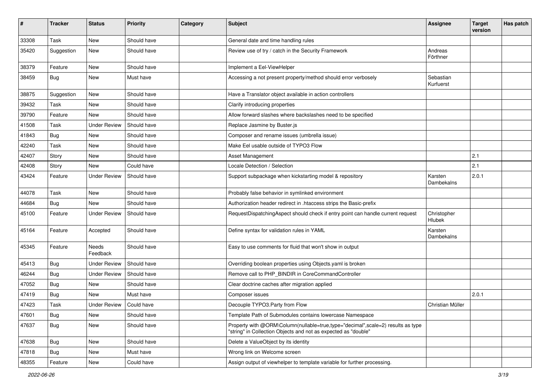| #     | <b>Tracker</b> | <b>Status</b>       | <b>Priority</b> | Category | <b>Subject</b>                                                                                                                                    | <b>Assignee</b>        | <b>Target</b><br>version | Has patch |
|-------|----------------|---------------------|-----------------|----------|---------------------------------------------------------------------------------------------------------------------------------------------------|------------------------|--------------------------|-----------|
| 33308 | Task           | New                 | Should have     |          | General date and time handling rules                                                                                                              |                        |                          |           |
| 35420 | Suggestion     | New                 | Should have     |          | Review use of try / catch in the Security Framework                                                                                               | Andreas<br>Förthner    |                          |           |
| 38379 | Feature        | New                 | Should have     |          | Implement a Eel-ViewHelper                                                                                                                        |                        |                          |           |
| 38459 | Bug            | <b>New</b>          | Must have       |          | Accessing a not present property/method should error verbosely                                                                                    | Sebastian<br>Kurfuerst |                          |           |
| 38875 | Suggestion     | <b>New</b>          | Should have     |          | Have a Translator object available in action controllers                                                                                          |                        |                          |           |
| 39432 | Task           | <b>New</b>          | Should have     |          | Clarify introducing properties                                                                                                                    |                        |                          |           |
| 39790 | Feature        | <b>New</b>          | Should have     |          | Allow forward slashes where backslashes need to be specified                                                                                      |                        |                          |           |
| 41508 | Task           | <b>Under Review</b> | Should have     |          | Replace Jasmine by Buster.js                                                                                                                      |                        |                          |           |
| 41843 | Bug            | New                 | Should have     |          | Composer and rename issues (umbrella issue)                                                                                                       |                        |                          |           |
| 42240 | Task           | <b>New</b>          | Should have     |          | Make Eel usable outside of TYPO3 Flow                                                                                                             |                        |                          |           |
| 42407 | Story          | <b>New</b>          | Should have     |          | Asset Management                                                                                                                                  |                        | 2.1                      |           |
| 42408 | Story          | New                 | Could have      |          | Locale Detection / Selection                                                                                                                      |                        | 2.1                      |           |
| 43424 | Feature        | <b>Under Review</b> | Should have     |          | Support subpackage when kickstarting model & repository                                                                                           | Karsten<br>Dambekalns  | 2.0.1                    |           |
| 44078 | Task           | <b>New</b>          | Should have     |          | Probably false behavior in symlinked environment                                                                                                  |                        |                          |           |
| 44684 | <b>Bug</b>     | New                 | Should have     |          | Authorization header redirect in .htaccess strips the Basic-prefix                                                                                |                        |                          |           |
| 45100 | Feature        | <b>Under Review</b> | Should have     |          | RequestDispatchingAspect should check if entry point can handle current request                                                                   | Christopher<br>Hlubek  |                          |           |
| 45164 | Feature        | Accepted            | Should have     |          | Define syntax for validation rules in YAML                                                                                                        | Karsten<br>Dambekalns  |                          |           |
| 45345 | Feature        | Needs<br>Feedback   | Should have     |          | Easy to use comments for fluid that won't show in output                                                                                          |                        |                          |           |
| 45413 | <b>Bug</b>     | <b>Under Review</b> | Should have     |          | Overriding boolean properties using Objects.yaml is broken                                                                                        |                        |                          |           |
| 46244 | Bug            | <b>Under Review</b> | Should have     |          | Remove call to PHP_BINDIR in CoreCommandController                                                                                                |                        |                          |           |
| 47052 | Bug            | New                 | Should have     |          | Clear doctrine caches after migration applied                                                                                                     |                        |                          |           |
| 47419 | <b>Bug</b>     | New                 | Must have       |          | Composer issues                                                                                                                                   |                        | 2.0.1                    |           |
| 47423 | Task           | <b>Under Review</b> | Could have      |          | Decouple TYPO3.Party from Flow                                                                                                                    | Christian Müller       |                          |           |
| 47601 | Bug            | New                 | Should have     |          | Template Path of Submodules contains lowercase Namespace                                                                                          |                        |                          |           |
| 47637 | Bug            | New                 | Should have     |          | Property with @ORM\Column(nullable=true,type="decimal",scale=2) results as type<br>"string" in Collection Objects and not as expected as "double" |                        |                          |           |
| 47638 | Bug            | <b>New</b>          | Should have     |          | Delete a ValueObject by its identity                                                                                                              |                        |                          |           |
| 47818 | <b>Bug</b>     | New                 | Must have       |          | Wrong link on Welcome screen                                                                                                                      |                        |                          |           |
| 48355 | Feature        | New                 | Could have      |          | Assign output of viewhelper to template variable for further processing.                                                                          |                        |                          |           |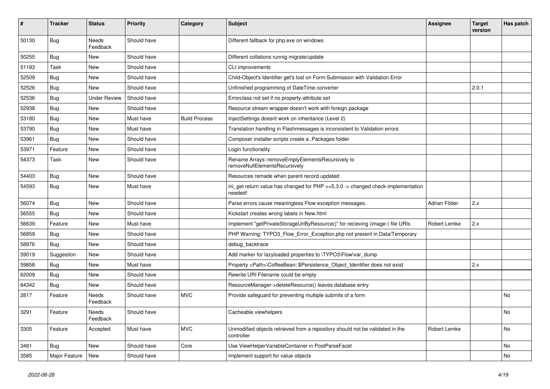| #     | <b>Tracker</b> | <b>Status</b>       | <b>Priority</b> | Category             | Subject                                                                                     | <b>Assignee</b> | <b>Target</b><br>version | Has patch      |
|-------|----------------|---------------------|-----------------|----------------------|---------------------------------------------------------------------------------------------|-----------------|--------------------------|----------------|
| 50130 | Bug            | Needs<br>Feedback   | Should have     |                      | Different fallback for php.exe on windows                                                   |                 |                          |                |
| 50255 | <b>Bug</b>     | New                 | Should have     |                      | Different collations runnig migrate/update                                                  |                 |                          |                |
| 51183 | Task           | New                 | Should have     |                      | CLI improvements                                                                            |                 |                          |                |
| 52509 | <b>Bug</b>     | New                 | Should have     |                      | Child-Object's Identifier get's lost on Form-Submission with Validation Error               |                 |                          |                |
| 52526 | Bug            | New                 | Should have     |                      | Unfinished programming of DateTime converter                                                |                 | 2.0.1                    |                |
| 52536 | <b>Bug</b>     | <b>Under Review</b> | Should have     |                      | Errorclass not set if no property-attribute set                                             |                 |                          |                |
| 52938 | <b>Bug</b>     | New                 | Should have     |                      | Resource stream wrapper doesn't work with foreign package                                   |                 |                          |                |
| 53180 | Bug            | New                 | Must have       | <b>Build Process</b> | InjectSettings doesnt work on inheritance (Level 2)                                         |                 |                          |                |
| 53790 | <b>Bug</b>     | New                 | Must have       |                      | Translation handling in Flashmessages is inconsistent to Validation errors                  |                 |                          |                |
| 53961 | <b>Bug</b>     | New                 | Should have     |                      | Composer installer scripts create a .Packages folder                                        |                 |                          |                |
| 53971 | Feature        | New                 | Should have     |                      | Login functionality                                                                         |                 |                          |                |
| 54373 | Task           | New                 | Should have     |                      | Rename Arrays::removeEmptyElementsRecursively to<br>removeNullElementsRecursively           |                 |                          |                |
| 54403 | <b>Bug</b>     | New                 | Should have     |                      | Resources remade when parent record updated                                                 |                 |                          |                |
| 54593 | <b>Bug</b>     | New                 | Must have       |                      | ini_get return value has changed for PHP >=5.3.0 -> changed check-implementation<br>needed! |                 |                          |                |
| 56074 | <b>Bug</b>     | New                 | Should have     |                      | Parse errors cause meaningless Flow exception messages.                                     | Adrian Föder    | 2.x                      |                |
| 56555 | Bug            | New                 | Should have     |                      | Kickstart creates wrong labels in New.html                                                  |                 |                          |                |
| 56639 | Feature        | New                 | Must have       |                      | Implement "getPrivateStorageUriByResource()" for recieving (image-) file URIs               | Robert Lemke    | 2.x                      |                |
| 56859 | <b>Bug</b>     | New                 | Should have     |                      | PHP Warning: TYPO3_Flow_Error_Exception.php not present in Data/Temporary                   |                 |                          |                |
| 58976 | Bug            | New                 | Should have     |                      | debug_backtrace                                                                             |                 |                          |                |
| 59019 | Suggestion     | New                 | Should have     |                      | Add marker for lazyloaded properties to \TYPO3\Flow\var_dump                                |                 |                          |                |
| 59858 | <b>Bug</b>     | New                 | Must have       |                      | Property <path>\CoffeeBean::\$Persistence_Object_Identifier does not exist</path>           |                 | 2.x                      |                |
| 62009 | <b>Bug</b>     | New                 | Should have     |                      | Rewrite URI Filename could be empty                                                         |                 |                          |                |
| 64342 | Bug            | New                 | Should have     |                      | ResourceManager->deleteResource() leaves database entry                                     |                 |                          |                |
| 2817  | Feature        | Needs<br>Feedback   | Should have     | <b>MVC</b>           | Provide safeguard for preventing multiple submits of a form                                 |                 |                          | <b>No</b>      |
| 3291  | Feature        | Needs<br>Feedback   | Should have     |                      | Cacheable viewhelpers                                                                       |                 |                          | N <sub>O</sub> |
| 3305  | Feature        | Accepted            | Must have       | <b>MVC</b>           | Unmodified objects retrieved from a repository should not be validated in the<br>controller | Robert Lemke    |                          | No             |
| 3481  | <b>Bug</b>     | New                 | Should have     | Core                 | Use ViewHelperVariableContainer in PostParseFacet                                           |                 |                          | No             |
| 3585  | Major Feature  | New                 | Should have     |                      | Implement support for value objects                                                         |                 |                          | No             |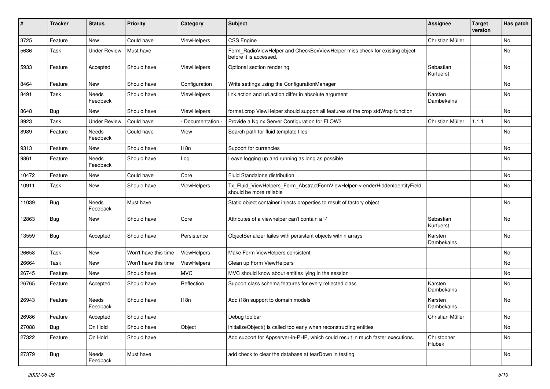| ∦     | <b>Tracker</b> | <b>Status</b>       | <b>Priority</b>      | Category         | <b>Subject</b>                                                                                         | <b>Assignee</b>        | <b>Target</b><br>version | Has patch |
|-------|----------------|---------------------|----------------------|------------------|--------------------------------------------------------------------------------------------------------|------------------------|--------------------------|-----------|
| 3725  | Feature        | New                 | Could have           | ViewHelpers      | <b>CSS Engine</b>                                                                                      | Christian Müller       |                          | No        |
| 5636  | Task           | <b>Under Review</b> | Must have            |                  | Form_RadioViewHelper and CheckBoxViewHelper miss check for existing object<br>before it is accessed.   |                        |                          | No        |
| 5933  | Feature        | Accepted            | Should have          | ViewHelpers      | Optional section rendering                                                                             | Sebastian<br>Kurfuerst |                          | No        |
| 8464  | Feature        | <b>New</b>          | Should have          | Configuration    | Write settings using the ConfigurationManager                                                          |                        |                          | No        |
| 8491  | Task           | Needs<br>Feedback   | Should have          | ViewHelpers      | link.action and uri.action differ in absolute argument                                                 | Karsten<br>Dambekalns  |                          | No        |
| 8648  | Bug            | New                 | Should have          | ViewHelpers      | format.crop ViewHelper should support all features of the crop stdWrap function                        |                        |                          | No        |
| 8923  | Task           | <b>Under Review</b> | Could have           | Documentation -  | Provide a Nginx Server Configuration for FLOW3                                                         | Christian Müller       | 1.1.1                    | No        |
| 8989  | Feature        | Needs<br>Feedback   | Could have           | View             | Search path for fluid template files                                                                   |                        |                          | No        |
| 9313  | Feature        | New                 | Should have          | 118 <sub>n</sub> | Support for currencies                                                                                 |                        |                          | No        |
| 9861  | Feature        | Needs<br>Feedback   | Should have          | Log              | Leave logging up and running as long as possible                                                       |                        |                          | No        |
| 10472 | Feature        | New                 | Could have           | Core             | Fluid Standalone distribution                                                                          |                        |                          | No        |
| 10911 | Task           | <b>New</b>          | Should have          | ViewHelpers      | Tx_Fluid_ViewHelpers_Form_AbstractFormViewHelper->renderHiddenIdentityField<br>should be more reliable |                        |                          | No        |
| 11039 | <b>Bug</b>     | Needs<br>Feedback   | Must have            |                  | Static object container injects properties to result of factory object                                 |                        |                          | No        |
| 12863 | Bug            | New                 | Should have          | Core             | Attributes of a viewhelper can't contain a '-'                                                         | Sebastian<br>Kurfuerst |                          | No        |
| 13559 | Bug            | Accepted            | Should have          | Persistence      | ObjectSerializer failes with persistent objects within arrays                                          | Karsten<br>Dambekalns  |                          | No        |
| 26658 | Task           | New                 | Won't have this time | ViewHelpers      | Make Form ViewHelpers consistent                                                                       |                        |                          | No        |
| 26664 | Task           | New                 | Won't have this time | ViewHelpers      | Clean up Form ViewHelpers                                                                              |                        |                          | No        |
| 26745 | Feature        | New                 | Should have          | <b>MVC</b>       | MVC should know about entities lying in the session                                                    |                        |                          | No        |
| 26765 | Feature        | Accepted            | Should have          | Reflection       | Support class schema features for every reflected class                                                | Karsten<br>Dambekalns  |                          | No        |
| 26943 | Feature        | Needs<br>Feedback   | Should have          | 118 <sub>n</sub> | Add i18n support to domain models                                                                      | Karsten<br>Dambekalns  |                          | No        |
| 26986 | Feature        | Accepted            | Should have          |                  | Debug toolbar                                                                                          | Christian Müller       |                          | No        |
| 27088 | <b>Bug</b>     | On Hold             | Should have          | Object           | initializeObject() is called too early when reconstructing entities                                    |                        |                          | No        |
| 27322 | Feature        | On Hold             | Should have          |                  | Add support for Appserver-in-PHP, which could result in much faster executions.                        | Christopher<br>Hlubek  |                          | No        |
| 27379 | <b>Bug</b>     | Needs<br>Feedback   | Must have            |                  | add check to clear the database at tearDown in testing                                                 |                        |                          | No        |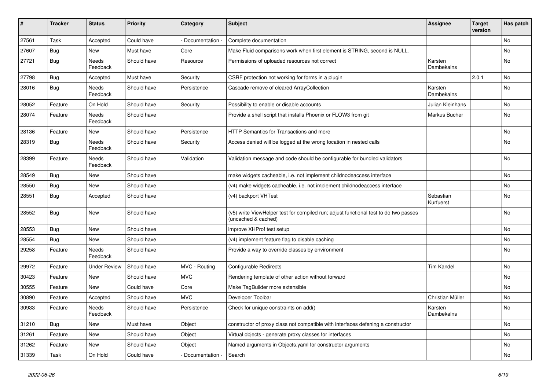| $\sharp$ | <b>Tracker</b> | <b>Status</b>            | <b>Priority</b> | Category        | <b>Subject</b>                                                                                              | <b>Assignee</b>        | <b>Target</b><br>version | Has patch |
|----------|----------------|--------------------------|-----------------|-----------------|-------------------------------------------------------------------------------------------------------------|------------------------|--------------------------|-----------|
| 27561    | Task           | Accepted                 | Could have      | Documentation - | Complete documentation                                                                                      |                        |                          | No        |
| 27607    | <b>Bug</b>     | New                      | Must have       | Core            | Make Fluid comparisons work when first element is STRING, second is NULL.                                   |                        |                          | No        |
| 27721    | Bug            | Needs<br>Feedback        | Should have     | Resource        | Permissions of uploaded resources not correct                                                               | Karsten<br>Dambekalns  |                          | No        |
| 27798    | Bug            | Accepted                 | Must have       | Security        | CSRF protection not working for forms in a plugin                                                           |                        | 2.0.1                    | No        |
| 28016    | Bug            | Needs<br>Feedback        | Should have     | Persistence     | Cascade remove of cleared ArrayCollection                                                                   | Karsten<br>Dambekalns  |                          | No        |
| 28052    | Feature        | On Hold                  | Should have     | Security        | Possibility to enable or disable accounts                                                                   | Julian Kleinhans       |                          | No        |
| 28074    | Feature        | <b>Needs</b><br>Feedback | Should have     |                 | Provide a shell script that installs Phoenix or FLOW3 from git                                              | Markus Bucher          |                          | No        |
| 28136    | Feature        | New                      | Should have     | Persistence     | HTTP Semantics for Transactions and more                                                                    |                        |                          | No        |
| 28319    | Bug            | Needs<br>Feedback        | Should have     | Security        | Access denied will be logged at the wrong location in nested calls                                          |                        |                          | No        |
| 28399    | Feature        | Needs<br>Feedback        | Should have     | Validation      | Validation message and code should be configurable for bundled validators                                   |                        |                          | No        |
| 28549    | <b>Bug</b>     | New                      | Should have     |                 | make widgets cacheable, i.e. not implement childnodeaccess interface                                        |                        |                          | No        |
| 28550    | Bug            | New                      | Should have     |                 | (v4) make widgets cacheable, i.e. not implement childnodeaccess interface                                   |                        |                          | No        |
| 28551    | Bug            | Accepted                 | Should have     |                 | (v4) backport VHTest                                                                                        | Sebastian<br>Kurfuerst |                          | No        |
| 28552    | Bug            | New                      | Should have     |                 | (v5) write ViewHelper test for compiled run; adjust functional test to do two passes<br>(uncached & cached) |                        |                          | No        |
| 28553    | Bug            | New                      | Should have     |                 | improve XHProf test setup                                                                                   |                        |                          | No        |
| 28554    | Bug            | New                      | Should have     |                 | (v4) implement feature flag to disable caching                                                              |                        |                          | No        |
| 29258    | Feature        | Needs<br>Feedback        | Should have     |                 | Provide a way to override classes by environment                                                            |                        |                          | No        |
| 29972    | Feature        | <b>Under Review</b>      | Should have     | MVC - Routing   | Configurable Redirects                                                                                      | <b>Tim Kandel</b>      |                          | No        |
| 30423    | Feature        | New                      | Should have     | <b>MVC</b>      | Rendering template of other action without forward                                                          |                        |                          | No        |
| 30555    | Feature        | New                      | Could have      | Core            | Make TagBuilder more extensible                                                                             |                        |                          | No        |
| 30890    | Feature        | Accepted                 | Should have     | <b>MVC</b>      | Developer Toolbar                                                                                           | Christian Müller       |                          | No        |
| 30933    | Feature        | Needs<br>Feedback        | Should have     | Persistence     | Check for unique constraints on add()                                                                       | Karsten<br>Dambekalns  |                          | No        |
| 31210    | <b>Bug</b>     | New                      | Must have       | Object          | constructor of proxy class not compatible with interfaces defening a constructor                            |                        |                          | No        |
| 31261    | Feature        | New                      | Should have     | Object          | Virtual objects - generate proxy classes for interfaces                                                     |                        |                          | No        |
| 31262    | Feature        | New                      | Should have     | Object          | Named arguments in Objects.yaml for constructor arguments                                                   |                        |                          | No        |
| 31339    | Task           | On Hold                  | Could have      | Documentation - | Search                                                                                                      |                        |                          | No        |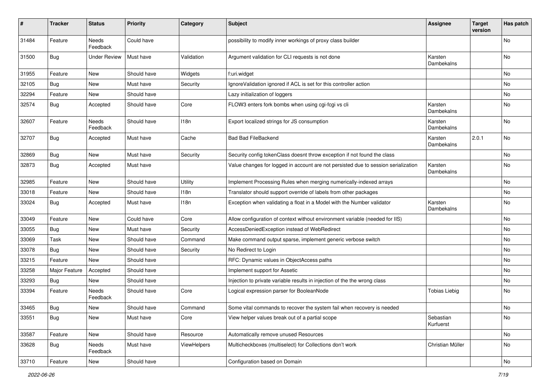| ∦     | <b>Tracker</b> | <b>Status</b>       | <b>Priority</b> | Category    | <b>Subject</b>                                                                     | <b>Assignee</b>        | <b>Target</b><br>version | Has patch |
|-------|----------------|---------------------|-----------------|-------------|------------------------------------------------------------------------------------|------------------------|--------------------------|-----------|
| 31484 | Feature        | Needs<br>Feedback   | Could have      |             | possibility to modify inner workings of proxy class builder                        |                        |                          | No        |
| 31500 | <b>Bug</b>     | <b>Under Review</b> | Must have       | Validation  | Argument validation for CLI requests is not done                                   | Karsten<br>Dambekalns  |                          | <b>No</b> |
| 31955 | Feature        | New                 | Should have     | Widgets     | f:uri.widget                                                                       |                        |                          | No        |
| 32105 | Bug            | New                 | Must have       | Security    | IgnoreValidation ignored if ACL is set for this controller action                  |                        |                          | No        |
| 32294 | Feature        | New                 | Should have     |             | Lazy initialization of loggers                                                     |                        |                          | No        |
| 32574 | Bug            | Accepted            | Should have     | Core        | FLOW3 enters fork bombs when using cgi-fcgi vs cli                                 | Karsten<br>Dambekalns  |                          | No        |
| 32607 | Feature        | Needs<br>Feedback   | Should have     | 118n        | Export localized strings for JS consumption                                        | Karsten<br>Dambekalns  |                          | <b>No</b> |
| 32707 | <b>Bug</b>     | Accepted            | Must have       | Cache       | <b>Bad Bad FileBackend</b>                                                         | Karsten<br>Dambekalns  | 2.0.1                    | No        |
| 32869 | Bug            | New                 | Must have       | Security    | Security config tokenClass doesnt throw exception if not found the class           |                        |                          | No        |
| 32873 | Bug            | Accepted            | Must have       |             | Value changes for logged in account are not persisted due to session serialization | Karsten<br>Dambekalns  |                          | No        |
| 32985 | Feature        | New                 | Should have     | Utility     | Implement Processing Rules when merging numerically-indexed arrays                 |                        |                          | <b>No</b> |
| 33018 | Feature        | New                 | Should have     | 118n        | Translator should support override of labels from other packages                   |                        |                          | No        |
| 33024 | <b>Bug</b>     | Accepted            | Must have       | 118n        | Exception when validating a float in a Model with the Number validator             | Karsten<br>Dambekalns  |                          | <b>No</b> |
| 33049 | Feature        | New                 | Could have      | Core        | Allow configuration of context without environment variable (needed for IIS)       |                        |                          | No        |
| 33055 | Bug            | New                 | Must have       | Security    | AccessDeniedException instead of WebRedirect                                       |                        |                          | No        |
| 33069 | Task           | New                 | Should have     | Command     | Make command output sparse, implement generic verbose switch                       |                        |                          | No        |
| 33078 | Bug            | New                 | Should have     | Security    | No Redirect to Login                                                               |                        |                          | No        |
| 33215 | Feature        | New                 | Should have     |             | RFC: Dynamic values in ObjectAccess paths                                          |                        |                          | <b>No</b> |
| 33258 | Major Feature  | Accepted            | Should have     |             | Implement support for Assetic                                                      |                        |                          | No        |
| 33293 | Bug            | New                 | Should have     |             | Injection to private variable results in injection of the the wrong class          |                        |                          | No        |
| 33394 | Feature        | Needs<br>Feedback   | Should have     | Core        | Logical expression parser for BooleanNode                                          | <b>Tobias Liebig</b>   |                          | <b>No</b> |
| 33465 | Bug            | New                 | Should have     | Command     | Some vital commands to recover the system fail when recovery is needed             |                        |                          | No        |
| 33551 | <b>Bug</b>     | New                 | Must have       | Core        | View helper values break out of a partial scope                                    | Sebastian<br>Kurfuerst |                          | No        |
| 33587 | Feature        | New                 | Should have     | Resource    | Automatically remove unused Resources                                              |                        |                          | No        |
| 33628 | <b>Bug</b>     | Needs<br>Feedback   | Must have       | ViewHelpers | Multicheckboxes (multiselect) for Collections don't work                           | Christian Müller       |                          | No        |
| 33710 | Feature        | New                 | Should have     |             | Configuration based on Domain                                                      |                        |                          | No        |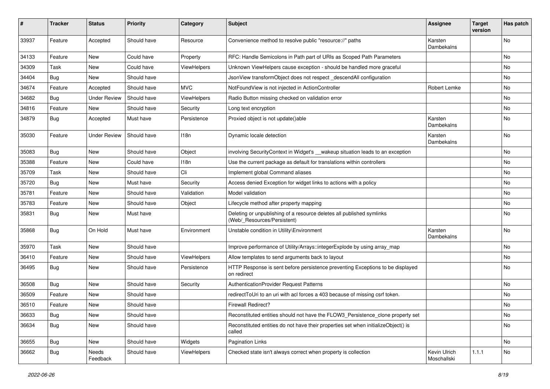| ∦     | <b>Tracker</b> | <b>Status</b>       | <b>Priority</b> | Category    | Subject                                                                                              | <b>Assignee</b>             | <b>Target</b><br>version | Has patch |
|-------|----------------|---------------------|-----------------|-------------|------------------------------------------------------------------------------------------------------|-----------------------------|--------------------------|-----------|
| 33937 | Feature        | Accepted            | Should have     | Resource    | Convenience method to resolve public "resource://" paths                                             | Karsten<br>Dambekalns       |                          | No        |
| 34133 | Feature        | New                 | Could have      | Property    | RFC: Handle Semicolons in Path part of URIs as Scoped Path Parameters                                |                             |                          | No        |
| 34309 | Task           | New                 | Could have      | ViewHelpers | Unknown ViewHelpers cause exception - should be handled more graceful                                |                             |                          | No        |
| 34404 | Bug            | New                 | Should have     |             | JsonView transformObject does not respect_descendAll configuration                                   |                             |                          | No        |
| 34674 | Feature        | Accepted            | Should have     | <b>MVC</b>  | NotFoundView is not injected in ActionController                                                     | Robert Lemke                |                          | No.       |
| 34682 | Bug            | <b>Under Review</b> | Should have     | ViewHelpers | Radio Button missing checked on validation error                                                     |                             |                          | No        |
| 34816 | Feature        | New                 | Should have     | Security    | Long text encryption                                                                                 |                             |                          | No        |
| 34879 | Bug            | Accepted            | Must have       | Persistence | Proxied object is not update()able                                                                   | Karsten<br>Dambekalns       |                          | No        |
| 35030 | Feature        | <b>Under Review</b> | Should have     | 118n        | Dynamic locale detection                                                                             | Karsten<br>Dambekalns       |                          | No        |
| 35083 | Bug            | New                 | Should have     | Object      | involving SecurityContext in Widget's __wakeup situation leads to an exception                       |                             |                          | No        |
| 35388 | Feature        | New                 | Could have      | 118n        | Use the current package as default for translations within controllers                               |                             |                          | No        |
| 35709 | Task           | New                 | Should have     | Cli         | Implement global Command aliases                                                                     |                             |                          | No        |
| 35720 | <b>Bug</b>     | New                 | Must have       | Security    | Access denied Exception for widget links to actions with a policy                                    |                             |                          | No        |
| 35781 | Feature        | New                 | Should have     | Validation  | Model validation                                                                                     |                             |                          | No        |
| 35783 | Feature        | New                 | Should have     | Object      | Lifecycle method after property mapping                                                              |                             |                          | No        |
| 35831 | Bug            | New                 | Must have       |             | Deleting or unpublishing of a resource deletes all published symlinks<br>(Web/_Resources/Persistent) |                             |                          | No        |
| 35868 | Bug            | On Hold             | Must have       | Environment | Unstable condition in Utility\Environment                                                            | Karsten<br>Dambekalns       |                          | No        |
| 35970 | Task           | New                 | Should have     |             | Improve performance of Utility/Arrays::integerExplode by using array_map                             |                             |                          | No        |
| 36410 | Feature        | New                 | Should have     | ViewHelpers | Allow templates to send arguments back to layout                                                     |                             |                          | No        |
| 36495 | <b>Bug</b>     | New                 | Should have     | Persistence | HTTP Response is sent before persistence preventing Exceptions to be displayed<br>on redirect        |                             |                          | No        |
| 36508 | <b>Bug</b>     | New                 | Should have     | Security    | AuthenticationProvider Request Patterns                                                              |                             |                          | No.       |
| 36509 | Feature        | New                 | Should have     |             | redirectToUri to an uri with acl forces a 403 because of missing csrf token.                         |                             |                          | No        |
| 36510 | Feature        | New                 | Should have     |             | <b>Firewall Redirect?</b>                                                                            |                             |                          | No        |
| 36633 | <b>Bug</b>     | New                 | Should have     |             | Reconstituted entities should not have the FLOW3_Persistence_clone property set                      |                             |                          | No        |
| 36634 | <b>Bug</b>     | New                 | Should have     |             | Reconstituted entities do not have their properties set when initializeObject() is<br>called         |                             |                          | No        |
| 36655 | <b>Bug</b>     | New                 | Should have     | Widgets     | <b>Pagination Links</b>                                                                              |                             |                          | No        |
| 36662 | <b>Bug</b>     | Needs<br>Feedback   | Should have     | ViewHelpers | Checked state isn't always correct when property is collection                                       | Kevin Ulrich<br>Moschallski | 1.1.1                    | No        |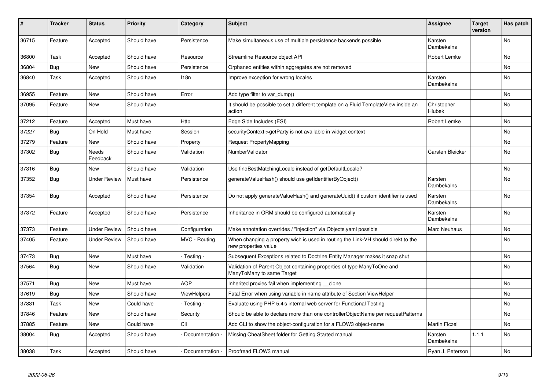| #     | <b>Tracker</b> | <b>Status</b>       | <b>Priority</b> | Category           | <b>Subject</b>                                                                                            | <b>Assignee</b>              | <b>Target</b><br>version | Has patch      |
|-------|----------------|---------------------|-----------------|--------------------|-----------------------------------------------------------------------------------------------------------|------------------------------|--------------------------|----------------|
| 36715 | Feature        | Accepted            | Should have     | Persistence        | Make simultaneous use of multiple persistence backends possible                                           | Karsten<br>Dambekalns        |                          | No             |
| 36800 | Task           | Accepted            | Should have     | Resource           | Streamline Resource object API                                                                            | Robert Lemke                 |                          | <b>No</b>      |
| 36804 | <b>Bug</b>     | <b>New</b>          | Should have     | Persistence        | Orphaned entities within aggregates are not removed                                                       |                              |                          | No             |
| 36840 | Task           | Accepted            | Should have     | 118 <sub>n</sub>   | Improve exception for wrong locales                                                                       | Karsten<br>Dambekalns        |                          | N <sub>o</sub> |
| 36955 | Feature        | <b>New</b>          | Should have     | Error              | Add type filter to var dump()                                                                             |                              |                          | <b>No</b>      |
| 37095 | Feature        | <b>New</b>          | Should have     |                    | It should be possible to set a different template on a Fluid TemplateView inside an<br>action             | Christopher<br>Hlubek        |                          | N <sub>o</sub> |
| 37212 | Feature        | Accepted            | Must have       | Http               | Edge Side Includes (ESI)                                                                                  | <b>Robert Lemke</b>          |                          | No             |
| 37227 | <b>Bug</b>     | On Hold             | Must have       | Session            | securityContext->getParty is not available in widget context                                              |                              |                          | No             |
| 37279 | Feature        | <b>New</b>          | Should have     | Property           | Request PropertyMapping                                                                                   |                              |                          | No             |
| 37302 | <b>Bug</b>     | Needs<br>Feedback   | Should have     | Validation         | NumberValidator                                                                                           | Carsten Bleicker             |                          | <b>No</b>      |
| 37316 | <b>Bug</b>     | New                 | Should have     | Validation         | Use findBestMatchingLocale instead of getDefaultLocale?                                                   |                              |                          | No             |
| 37352 | Bug            | <b>Under Review</b> | Must have       | Persistence        | generateValueHash() should use getIdentifierByObject()                                                    | Karsten<br>Dambekalns        |                          | <b>No</b>      |
| 37354 | <b>Bug</b>     | Accepted            | Should have     | Persistence        | Do not apply generateValueHash() and generateUuid() if custom identifier is used                          | Karsten<br>Dambekalns        |                          | No             |
| 37372 | Feature        | Accepted            | Should have     | Persistence        | Inheritance in ORM should be configured automatically                                                     | Karsten<br><b>Dambekalns</b> |                          | No             |
| 37373 | Feature        | <b>Under Review</b> | Should have     | Configuration      | Make annotation overrides / "injection" via Objects.yaml possible                                         | Marc Neuhaus                 |                          | No             |
| 37405 | Feature        | <b>Under Review</b> | Should have     | MVC - Routing      | When changing a property wich is used in routing the Link-VH should direkt to the<br>new properties value |                              |                          | No             |
| 37473 | <b>Bug</b>     | New                 | Must have       | - Testing -        | Subsequent Exceptions related to Doctrine Entity Manager makes it snap shut                               |                              |                          | No             |
| 37564 | Bug            | New                 | Should have     | Validation         | Validation of Parent Object containing properties of type ManyToOne and<br>ManyToMany to same Target      |                              |                          | No             |
| 37571 | <b>Bug</b>     | <b>New</b>          | Must have       | <b>AOP</b>         | Inherited proxies fail when implementing __clone                                                          |                              |                          | <b>No</b>      |
| 37619 | Bug            | <b>New</b>          | Should have     | <b>ViewHelpers</b> | Fatal Error when using variable in name attribute of Section ViewHelper                                   |                              |                          | No             |
| 37831 | Task           | New                 | Could have      | - Testing -        | Evaluate using PHP 5.4's internal web server for Functional Testing                                       |                              |                          | N <sub>o</sub> |
| 37846 | Feature        | <b>New</b>          | Should have     | Security           | Should be able to declare more than one controllerObjectName per requestPatterns                          |                              |                          | <b>No</b>      |
| 37885 | Feature        | New                 | Could have      | Cli                | Add CLI to show the object-configuration for a FLOW3 object-name                                          | <b>Martin Ficzel</b>         |                          | No             |
| 38004 | Bug            | Accepted            | Should have     | Documentation -    | Missing CheatSheet folder for Getting Started manual                                                      | Karsten<br>Dambekalns        | 1.1.1                    | No             |
| 38038 | Task           | Accepted            | Should have     | Documentation -    | Proofread FLOW3 manual                                                                                    | Ryan J. Peterson             |                          | No             |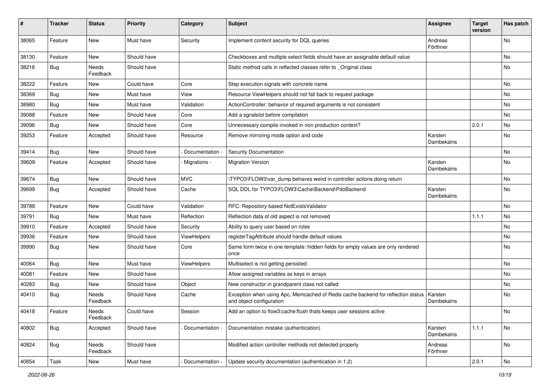| ∦     | <b>Tracker</b> | <b>Status</b>     | <b>Priority</b> | Category          | Subject                                                                                                      | <b>Assignee</b>       | <b>Target</b><br>version | Has patch |
|-------|----------------|-------------------|-----------------|-------------------|--------------------------------------------------------------------------------------------------------------|-----------------------|--------------------------|-----------|
| 38065 | Feature        | New               | Must have       | Security          | Implement content security for DQL queries                                                                   | Andreas<br>Förthner   |                          | No        |
| 38130 | Feature        | New               | Should have     |                   | Checkboxes and multiple select fields should have an assignable default value                                |                       |                          | No        |
| 38216 | Bug            | Needs<br>Feedback | Should have     |                   | Static method calls in reflected classes refer to _Original class                                            |                       |                          | No        |
| 38222 | Feature        | New               | Could have      | Core              | Step execution signals with concrete name                                                                    |                       |                          | No.       |
| 38369 | Bug            | New               | Must have       | View              | Resource ViewHelpers should not fall back to request package                                                 |                       |                          | No        |
| 38980 | <b>Bug</b>     | New               | Must have       | Validation        | ActionController: behavior of required arguments is not consistent                                           |                       |                          | No        |
| 39088 | Feature        | New               | Should have     | Core              | Add a sgnalslot before compilation                                                                           |                       |                          | No        |
| 39096 | <b>Bug</b>     | New               | Should have     | Core              | Unnecessary compile invoked in non production context?                                                       |                       | 2.0.1                    | No        |
| 39253 | Feature        | Accepted          | Should have     | Resource          | Remove mirroring mode option and code                                                                        | Karsten<br>Dambekalns |                          | No        |
| 39414 | <b>Bug</b>     | New               | Should have     | Documentation -   | <b>Security Documentation</b>                                                                                |                       |                          | No        |
| 39609 | Feature        | Accepted          | Should have     | - Migrations -    | <b>Migration Version</b>                                                                                     | Karsten<br>Dambekalns |                          | No        |
| 39674 | <b>Bug</b>     | New               | Should have     | <b>MVC</b>        | \TYPO3\FLOW3\var_dump behaves weird in controller actions doing return                                       |                       |                          | No        |
| 39699 | <b>Bug</b>     | Accepted          | Should have     | Cache             | SQL DDL for TYPO3\FLOW3\Cache\Backend\PdoBackend                                                             | Karsten<br>Dambekalns |                          | No        |
| 39788 | Feature        | New               | Could have      | Validation        | RFC: Repository based NotExistsValidator                                                                     |                       |                          | No        |
| 39791 | Bug            | New               | Must have       | Reflection        | Reflection data of old aspect is not removed                                                                 |                       | 1.1.1                    | No        |
| 39910 | Feature        | Accepted          | Should have     | Security          | Ability to query user based on roles                                                                         |                       |                          | No        |
| 39936 | Feature        | New               | Should have     | ViewHelpers       | registerTagAttribute should handle default values                                                            |                       |                          | No        |
| 39990 | <b>Bug</b>     | New               | Should have     | Core              | Same form twice in one template: hidden fields for empty values are only rendered<br>once                    |                       |                          | No        |
| 40064 | Bug            | New               | Must have       | ViewHelpers       | Multiselect is not getting persisted                                                                         |                       |                          | No        |
| 40081 | Feature        | New               | Should have     |                   | Allow assigned variables as keys in arrays                                                                   |                       |                          | No        |
| 40283 | <b>Bug</b>     | New               | Should have     | Object            | New constructor in grandparent class not called                                                              |                       |                          | No        |
| 40410 | <b>Bug</b>     | Needs<br>Feedback | Should have     | Cache             | Exception when using Apc, Memcached of Redis cache backend for reflection status<br>and object configuration | Karsten<br>Dambekalns |                          | No        |
| 40418 | Feature        | Needs<br>Feedback | Could have      | Session           | Add an option to flow3:cache:flush thats keeps user sessions active                                          |                       |                          | No        |
| 40802 | Bug            | Accepted          | Should have     | - Documentation - | Documentation mistake (authentication)                                                                       | Karsten<br>Dambekalns | 1.1.1                    | No        |
| 40824 | Bug            | Needs<br>Feedback | Should have     |                   | Modified action controller methods not detected properly                                                     | Andreas<br>Förthner   |                          | No        |
| 40854 | Task           | New               | Must have       | Documentation     | Update security documentation (authentication in 1.2)                                                        |                       | 2.0.1                    | No        |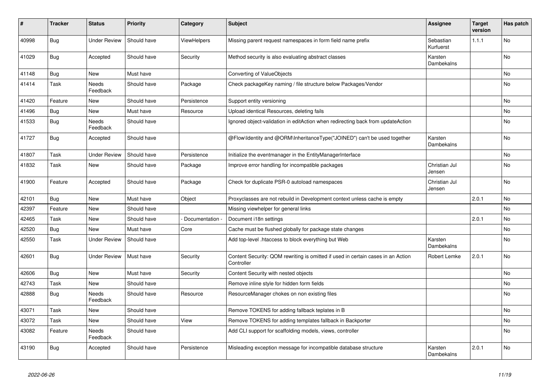| #     | <b>Tracker</b> | <b>Status</b>       | <b>Priority</b> | Category      | <b>Subject</b>                                                                                 | <b>Assignee</b>         | <b>Target</b><br>version | Has patch |
|-------|----------------|---------------------|-----------------|---------------|------------------------------------------------------------------------------------------------|-------------------------|--------------------------|-----------|
| 40998 | <b>Bug</b>     | <b>Under Review</b> | Should have     | ViewHelpers   | Missing parent request namespaces in form field name prefix                                    | Sebastian<br>Kurfuerst  | 1.1.1                    | No        |
| 41029 | <b>Bug</b>     | Accepted            | Should have     | Security      | Method security is also evaluating abstract classes                                            | Karsten<br>Dambekalns   |                          | <b>No</b> |
| 41148 | <b>Bug</b>     | New                 | Must have       |               | Converting of ValueObjects                                                                     |                         |                          | No        |
| 41414 | Task           | Needs<br>Feedback   | Should have     | Package       | Check packageKey naming / file structure below Packages/Vendor                                 |                         |                          | No        |
| 41420 | Feature        | New                 | Should have     | Persistence   | Support entity versioning                                                                      |                         |                          | No        |
| 41496 | Bug            | New                 | Must have       | Resource      | Upload identical Resources, deleting fails                                                     |                         |                          | No        |
| 41533 | Bug            | Needs<br>Feedback   | Should have     |               | Ignored object-validation in editAction when redirecting back from updateAction                |                         |                          | No        |
| 41727 | <b>Bug</b>     | Accepted            | Should have     |               | @Flow\Identity and @ORM\InheritanceType("JOINED") can't be used together                       | Karsten<br>Dambekalns   |                          | No        |
| 41807 | Task           | <b>Under Review</b> | Should have     | Persistence   | Initialize the eventmanager in the EntityManagerInterface                                      |                         |                          | No.       |
| 41832 | Task           | New                 | Should have     | Package       | Improve error handling for incompatible packages                                               | Christian Jul<br>Jensen |                          | No        |
| 41900 | Feature        | Accepted            | Should have     | Package       | Check for duplicate PSR-0 autoload namespaces                                                  | Christian Jul<br>Jensen |                          | No        |
| 42101 | Bug            | New                 | Must have       | Object        | Proxyclasses are not rebuild in Development context unless cache is empty                      |                         | 2.0.1                    | No        |
| 42397 | Feature        | New                 | Should have     |               | Missing viewhelper for general links                                                           |                         |                          | No        |
| 42465 | Task           | New                 | Should have     | Documentation | Document i18n settings                                                                         |                         | 2.0.1                    | No        |
| 42520 | <b>Bug</b>     | New                 | Must have       | Core          | Cache must be flushed globally for package state changes                                       |                         |                          | No        |
| 42550 | Task           | <b>Under Review</b> | Should have     |               | Add top-level .htaccess to block everything but Web                                            | Karsten<br>Dambekalns   |                          | No        |
| 42601 | <b>Bug</b>     | <b>Under Review</b> | Must have       | Security      | Content Security: QOM rewriting is omitted if used in certain cases in an Action<br>Controller | Robert Lemke            | 2.0.1                    | No.       |
| 42606 | <b>Bug</b>     | New                 | Must have       | Security      | Content Security with nested objects                                                           |                         |                          | No        |
| 42743 | Task           | New                 | Should have     |               | Remove inline style for hidden form fields                                                     |                         |                          | No        |
| 42888 | <b>Bug</b>     | Needs<br>Feedback   | Should have     | Resource      | ResourceManager chokes on non existing files                                                   |                         |                          | No        |
| 43071 | Task           | New                 | Should have     |               | Remove TOKENS for adding fallback teplates in B                                                |                         |                          | No        |
| 43072 | Task           | New                 | Should have     | View          | Remove TOKENS for adding templates fallback in Backporter                                      |                         |                          | No        |
| 43082 | Feature        | Needs<br>Feedback   | Should have     |               | Add CLI support for scaffolding models, views, controller                                      |                         |                          | No        |
| 43190 | <b>Bug</b>     | Accepted            | Should have     | Persistence   | Misleading exception message for incompatible database structure                               | Karsten<br>Dambekalns   | 2.0.1                    | No        |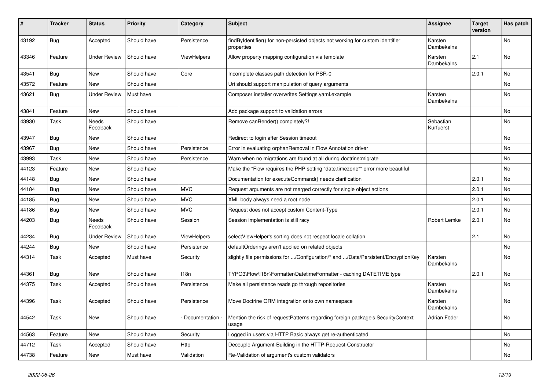| #     | <b>Tracker</b> | <b>Status</b>       | <b>Priority</b> | Category          | Subject                                                                                      | <b>Assignee</b>        | <b>Target</b><br>version | Has patch |
|-------|----------------|---------------------|-----------------|-------------------|----------------------------------------------------------------------------------------------|------------------------|--------------------------|-----------|
| 43192 | Bug            | Accepted            | Should have     | Persistence       | findByIdentifier() for non-persisted objects not working for custom identifier<br>properties | Karsten<br>Dambekalns  |                          | <b>No</b> |
| 43346 | Feature        | <b>Under Review</b> | Should have     | ViewHelpers       | Allow property mapping configuration via template                                            | Karsten<br>Dambekalns  | 2.1                      | <b>No</b> |
| 43541 | Bug            | <b>New</b>          | Should have     | Core              | Incomplete classes path detection for PSR-0                                                  |                        | 2.0.1                    | <b>No</b> |
| 43572 | Feature        | New                 | Should have     |                   | Uri should support manipulation of query arguments                                           |                        |                          | No        |
| 43621 | Bug            | <b>Under Review</b> | Must have       |                   | Composer installer overwrites Settings.yaml.example                                          | Karsten<br>Dambekalns  |                          | No        |
| 43841 | Feature        | <b>New</b>          | Should have     |                   | Add package support to validation errors                                                     |                        |                          | <b>No</b> |
| 43930 | Task           | Needs<br>Feedback   | Should have     |                   | Remove canRender() completely?!                                                              | Sebastian<br>Kurfuerst |                          | No        |
| 43947 | Bug            | <b>New</b>          | Should have     |                   | Redirect to login after Session timeout                                                      |                        |                          | No        |
| 43967 | Bug            | New                 | Should have     | Persistence       | Error in evaluating orphanRemoval in Flow Annotation driver                                  |                        |                          | <b>No</b> |
| 43993 | Task           | New                 | Should have     | Persistence       | Warn when no migrations are found at all during doctrine: migrate                            |                        |                          | No        |
| 44123 | Feature        | New                 | Should have     |                   | Make the "Flow requires the PHP setting "date.timezone"" error more beautiful                |                        |                          | No        |
| 44148 | Bug            | New                 | Should have     |                   | Documentation for executeCommand() needs clarification                                       |                        | 2.0.1                    | No        |
| 44184 | Bug            | <b>New</b>          | Should have     | <b>MVC</b>        | Request arguments are not merged correctly for single object actions                         |                        | 2.0.1                    | <b>No</b> |
| 44185 | Bug            | New                 | Should have     | <b>MVC</b>        | XML body always need a root node                                                             |                        | 2.0.1                    | No        |
| 44186 | Bug            | New                 | Should have     | <b>MVC</b>        | Request does not accept custom Content-Type                                                  |                        | 2.0.1                    | No        |
| 44203 | Bug            | Needs<br>Feedback   | Should have     | Session           | Session implementation is still racy                                                         | Robert Lemke           | 2.0.1                    | <b>No</b> |
| 44234 | Bug            | <b>Under Review</b> | Should have     | ViewHelpers       | selectViewHelper's sorting does not respect locale collation                                 |                        | 2.1                      | No        |
| 44244 | <b>Bug</b>     | New                 | Should have     | Persistence       | defaultOrderings aren't applied on related objects                                           |                        |                          | No        |
| 44314 | Task           | Accepted            | Must have       | Security          | slightly file permissions for /Configuration/* and /Data/Persistent/EncryptionKey            | Karsten<br>Dambekalns  |                          | <b>No</b> |
| 44361 | Bug            | New                 | Should have     | 118n              | TYPO3\Flow\I18n\Formatter\DatetimeFormatter - caching DATETIME type                          |                        | 2.0.1                    | No        |
| 44375 | Task           | Accepted            | Should have     | Persistence       | Make all persistence reads go through repositories                                           | Karsten<br>Dambekalns  |                          | <b>No</b> |
| 44396 | Task           | Accepted            | Should have     | Persistence       | Move Doctrine ORM integration onto own namespace                                             | Karsten<br>Dambekalns  |                          | <b>No</b> |
| 44542 | Task           | New                 | Should have     | - Documentation - | Mention the risk of requestPatterns regarding foreign package's SecurityContext<br>usage     | Adrian Föder           |                          | No        |
| 44563 | Feature        | New                 | Should have     | Security          | Logged in users via HTTP Basic always get re-authenticated                                   |                        |                          | No        |
| 44712 | Task           | Accepted            | Should have     | Http              | Decouple Argument-Building in the HTTP-Request-Constructor                                   |                        |                          | No        |
| 44738 | Feature        | New                 | Must have       | Validation        | Re-Validation of argument's custom validators                                                |                        |                          | No        |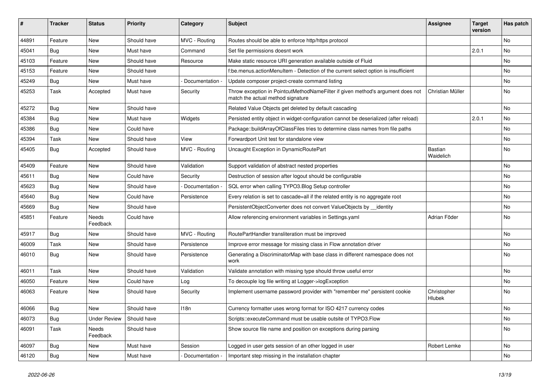| ∦     | <b>Tracker</b> | <b>Status</b>       | <b>Priority</b> | Category          | <b>Subject</b>                                                                                                       | <b>Assignee</b>       | Target<br>version | Has patch |
|-------|----------------|---------------------|-----------------|-------------------|----------------------------------------------------------------------------------------------------------------------|-----------------------|-------------------|-----------|
| 44891 | Feature        | <b>New</b>          | Should have     | MVC - Routing     | Routes should be able to enforce http/https protocol                                                                 |                       |                   | <b>No</b> |
| 45041 | <b>Bug</b>     | New                 | Must have       | Command           | Set file permissions doesnt work                                                                                     |                       | 2.0.1             | <b>No</b> |
| 45103 | Feature        | New                 | Should have     | Resource          | Make static resource URI generation available outside of Fluid                                                       |                       |                   | No        |
| 45153 | Feature        | New                 | Should have     |                   | f:be.menus.actionMenuItem - Detection of the current select option is insufficient                                   |                       |                   | <b>No</b> |
| 45249 | <b>Bug</b>     | New                 | Must have       | Documentation     | Update composer project-create command listing                                                                       |                       |                   | No        |
| 45253 | <b>Task</b>    | Accepted            | Must have       | Security          | Throw exception in PointcutMethodNameFilter if given method's argument does not<br>match the actual method signature | Christian Müller      |                   | No        |
| 45272 | Bug            | New                 | Should have     |                   | Related Value Objects get deleted by default cascading                                                               |                       |                   | <b>No</b> |
| 45384 | Bug            | <b>New</b>          | Must have       | Widgets           | Persisted entity object in widget-configuration cannot be deserialized (after reload)                                |                       | 2.0.1             | No        |
| 45386 | Bug            | New                 | Could have      |                   | Package::buildArrayOfClassFiles tries to determine class names from file paths                                       |                       |                   | No        |
| 45394 | <b>Task</b>    | New                 | Should have     | View              | Forwardport Unit test for standalone view                                                                            |                       |                   | No        |
| 45405 | Bug            | Accepted            | Should have     | MVC - Routing     | Uncaught Exception in DynamicRoutePart                                                                               | Bastian<br>Waidelich  |                   | <b>No</b> |
| 45409 | Feature        | New                 | Should have     | Validation        | Support validation of abstract nested properties                                                                     |                       |                   | <b>No</b> |
| 45611 | Bug            | New                 | Could have      | Security          | Destruction of session after logout should be configurable                                                           |                       |                   | No        |
| 45623 | <b>Bug</b>     | New                 | Should have     | - Documentation - | SQL error when calling TYPO3.Blog Setup controller                                                                   |                       |                   | <b>No</b> |
| 45640 | Bug            | <b>New</b>          | Could have      | Persistence       | Every relation is set to cascade=all if the related entity is no aggregate root                                      |                       |                   | No        |
| 45669 | <b>Bug</b>     | New                 | Should have     |                   | PersistentObjectConverter does not convert ValueObjects by __ identity                                               |                       |                   | No        |
| 45851 | Feature        | Needs<br>Feedback   | Could have      |                   | Allow referencing environment variables in Settings.yaml                                                             | Adrian Föder          |                   | No        |
| 45917 | Bug            | <b>New</b>          | Should have     | MVC - Routing     | RoutePartHandler transliteration must be improved                                                                    |                       |                   | No        |
| 46009 | Task           | New                 | Should have     | Persistence       | Improve error message for missing class in Flow annotation driver                                                    |                       |                   | <b>No</b> |
| 46010 | <b>Bug</b>     | New                 | Should have     | Persistence       | Generating a DiscriminatorMap with base class in different namespace does not<br>work                                |                       |                   | No        |
| 46011 | <b>Task</b>    | <b>New</b>          | Should have     | Validation        | Validate annotation with missing type should throw useful error                                                      |                       |                   | No        |
| 46050 | Feature        | New                 | Could have      | Log               | To decouple log file writing at Logger->logException                                                                 |                       |                   | No        |
| 46063 | Feature        | New                 | Should have     | Security          | Implement username password provider with "remember me" persistent cookie                                            | Christopher<br>Hlubek |                   | <b>No</b> |
| 46066 | Bug            | New                 | Should have     | 118n              | Currency formatter uses wrong format for ISO 4217 currency codes                                                     |                       |                   | No        |
| 46073 | <b>Bug</b>     | <b>Under Review</b> | Should have     |                   | Scripts::executeCommand must be usable outsite of TYPO3.Flow                                                         |                       |                   | No        |
| 46091 | Task           | Needs<br>Feedback   | Should have     |                   | Show source file name and position on exceptions during parsing                                                      |                       |                   | No        |
| 46097 | <b>Bug</b>     | New                 | Must have       | Session           | Logged in user gets session of an other logged in user                                                               | Robert Lemke          |                   | No        |
| 46120 | <b>Bug</b>     | New                 | Must have       | Documentation -   | Important step missing in the installation chapter                                                                   |                       |                   | No        |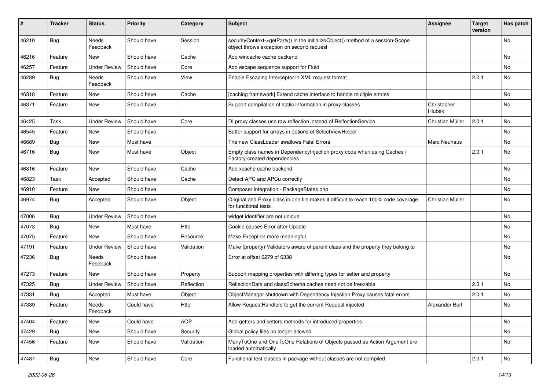| ∦     | <b>Tracker</b> | <b>Status</b>       | <b>Priority</b> | Category   | Subject                                                                                                                      | <b>Assignee</b>              | <b>Target</b><br>version | Has patch |
|-------|----------------|---------------------|-----------------|------------|------------------------------------------------------------------------------------------------------------------------------|------------------------------|--------------------------|-----------|
| 46210 | Bug            | Needs<br>Feedback   | Should have     | Session    | securityContext->getParty() in the initializeObject() method of a session-Scope<br>object throws exception on second request |                              |                          | <b>No</b> |
| 46216 | Feature        | New                 | Should have     | Cache      | Add wincache cache backend                                                                                                   |                              |                          | No        |
| 46257 | Feature        | <b>Under Review</b> | Should have     | Core       | Add escape sequence support for Fluid                                                                                        |                              |                          | No        |
| 46289 | <b>Bug</b>     | Needs<br>Feedback   | Should have     | View       | Enable Escaping Interceptor in XML request format                                                                            |                              | 2.0.1                    | No        |
| 46318 | Feature        | New                 | Should have     | Cache      | [caching framework] Extend cache interface to handle multiple entries                                                        |                              |                          | No        |
| 46371 | Feature        | New                 | Should have     |            | Support compilation of static information in proxy classes                                                                   | Christopher<br><b>Hlubek</b> |                          | No        |
| 46425 | <b>Task</b>    | <b>Under Review</b> | Should have     | Core       | DI proxy classes use raw reflection instead of RelfectionService                                                             | Christian Müller             | 2.0.1                    | No        |
| 46545 | Feature        | New                 | Should have     |            | Better support for arrays in options of SelectViewHelper                                                                     |                              |                          | <b>No</b> |
| 46689 | Bug            | <b>New</b>          | Must have       |            | The new ClassLoader swallows Fatal Errors                                                                                    | <b>Marc Neuhaus</b>          |                          | No        |
| 46716 | <b>Bug</b>     | New                 | Must have       | Object     | Empty class names in Dependencylnjection proxy code when using Caches /<br>Factory-created dependencies                      |                              | 2.0.1                    | No        |
| 46816 | Feature        | New                 | Should have     | Cache      | Add xcache cache backend                                                                                                     |                              |                          | <b>No</b> |
| 46823 | Task           | Accepted            | Should have     | Cache      | Detect APC and APCu correctly                                                                                                |                              |                          | No        |
| 46910 | Feature        | New                 | Should have     |            | Composer integration - PackageStates.php                                                                                     |                              |                          | <b>No</b> |
| 46974 | <b>Bug</b>     | Accepted            | Should have     | Object     | Original and Proxy class in one file makes it difficult to reach 100% code coverage<br>for functional tests                  | Christian Müller             |                          | No        |
| 47006 | Bug            | <b>Under Review</b> | Should have     |            | widget identifier are not unique                                                                                             |                              |                          | No        |
| 47073 | <b>Bug</b>     | New                 | Must have       | Http       | Cookie causes Error after Update                                                                                             |                              |                          | <b>No</b> |
| 47075 | Feature        | New                 | Should have     | Resource   | Make Exception more meaningful                                                                                               |                              |                          | No        |
| 47191 | Feature        | <b>Under Review</b> | Should have     | Validation | Make (property) Validators aware of parent class and the property they belong to                                             |                              |                          | No        |
| 47236 | <b>Bug</b>     | Needs<br>Feedback   | Should have     |            | Error at offset 6279 of 6338                                                                                                 |                              |                          | No        |
| 47273 | Feature        | New                 | Should have     | Property   | Support mapping properties with differing types for setter and property                                                      |                              |                          | No        |
| 47325 | <b>Bug</b>     | <b>Under Review</b> | Should have     | Reflection | ReflectionData and classSchema caches need not be freezable                                                                  |                              | 2.0.1                    | No        |
| 47331 | Bug            | Accepted            | Must have       | Object     | ObjectManager shutdown with Dependency Injection Proxy causes fatal errors                                                   |                              | 2.0.1                    | No        |
| 47339 | Feature        | Needs<br>Feedback   | Could have      | Http       | Allow RequestHandlers to get the current Request injected                                                                    | Alexander Berl               |                          | No        |
| 47404 | Feature        | <b>New</b>          | Could have      | <b>AOP</b> | Add getters and setters methods for introduced properties                                                                    |                              |                          | No        |
| 47429 | <b>Bug</b>     | New                 | Should have     | Security   | Global policy files no longer allowed                                                                                        |                              |                          | No        |
| 47456 | Feature        | New                 | Should have     | Validation | ManyToOne and OneToOne Relations of Objects passed as Action Argument are<br>loaded automatically                            |                              |                          | No        |
| 47487 | <b>Bug</b>     | New                 | Should have     | Core       | Functional test classes in package without classes are not compiled                                                          |                              | 2.0.1                    | No        |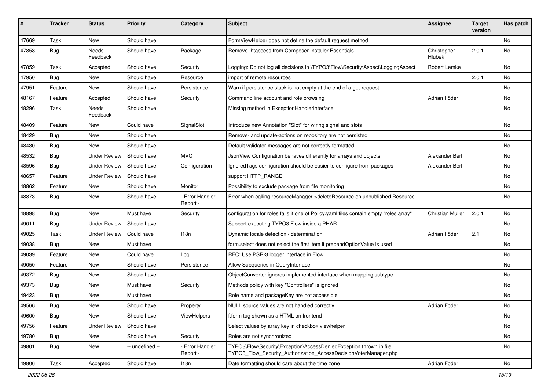| ∦     | <b>Tracker</b> | <b>Status</b>       | <b>Priority</b> | Category                         | Subject                                                                                                                                | <b>Assignee</b>       | <b>Target</b><br>version | Has patch |
|-------|----------------|---------------------|-----------------|----------------------------------|----------------------------------------------------------------------------------------------------------------------------------------|-----------------------|--------------------------|-----------|
| 47669 | Task           | New                 | Should have     |                                  | FormViewHelper does not define the default request method                                                                              |                       |                          | No        |
| 47858 | <b>Bug</b>     | Needs<br>Feedback   | Should have     | Package                          | Remove .htaccess from Composer Installer Essentials                                                                                    | Christopher<br>Hlubek | 2.0.1                    | No        |
| 47859 | Task           | Accepted            | Should have     | Security                         | Logging: Do not log all decisions in \TYPO3\Flow\Security\Aspect\LoggingAspect                                                         | Robert Lemke          |                          | No        |
| 47950 | <b>Bug</b>     | New                 | Should have     | Resource                         | import of remote resources                                                                                                             |                       | 2.0.1                    | No        |
| 47951 | Feature        | New                 | Should have     | Persistence                      | Warn if persistence stack is not empty at the end of a get-request                                                                     |                       |                          | No        |
| 48167 | Feature        | Accepted            | Should have     | Security                         | Command line account and role browsing                                                                                                 | Adrian Föder          |                          | No        |
| 48296 | Task           | Needs<br>Feedback   | Should have     |                                  | Missing method in ExceptionHandlerInterface                                                                                            |                       |                          | No        |
| 48409 | Feature        | New                 | Could have      | SignalSlot                       | Introduce new Annotation "Slot" for wiring signal and slots                                                                            |                       |                          | No        |
| 48429 | <b>Bug</b>     | New                 | Should have     |                                  | Remove- and update-actions on repository are not persisted                                                                             |                       |                          | No        |
| 48430 | Bug            | New                 | Should have     |                                  | Default validator-messages are not correctly formatted                                                                                 |                       |                          | No        |
| 48532 | Bug            | <b>Under Review</b> | Should have     | <b>MVC</b>                       | JsonView Configuration behaves differently for arrays and objects                                                                      | Alexander Berl        |                          | No        |
| 48596 | <b>Bug</b>     | <b>Under Review</b> | Should have     | Configuration                    | IgnoredTags configuration should be easier to configure from packages                                                                  | Alexander Berl        |                          | No        |
| 48657 | Feature        | <b>Under Review</b> | Should have     |                                  | support HTTP_RANGE                                                                                                                     |                       |                          | No        |
| 48862 | Feature        | New                 | Should have     | Monitor                          | Possibility to exclude package from file monitoring                                                                                    |                       |                          | No.       |
| 48873 | <b>Bug</b>     | New                 | Should have     | <b>Error Handler</b><br>Report - | Error when calling resourceManager->deleteResource on unpublished Resource                                                             |                       |                          | No        |
| 48898 | <b>Bug</b>     | New                 | Must have       | Security                         | configuration for roles fails if one of Policy yaml files contain empty "roles array"                                                  | Christian Müller      | 2.0.1                    | No        |
| 49011 | <b>Bug</b>     | <b>Under Review</b> | Should have     |                                  | Support executing TYPO3.Flow inside a PHAR                                                                                             |                       |                          | No        |
| 49025 | Task           | <b>Under Review</b> | Could have      | 118n                             | Dynamic locale detection / determination                                                                                               | Adrian Föder          | 2.1                      | No        |
| 49038 | Bug            | New                 | Must have       |                                  | form.select does not select the first item if prependOptionValue is used                                                               |                       |                          | No        |
| 49039 | Feature        | New                 | Could have      | Log                              | RFC: Use PSR-3 logger interface in Flow                                                                                                |                       |                          | No        |
| 49050 | Feature        | New                 | Should have     | Persistence                      | Allow Subqueries in QueryInterface                                                                                                     |                       |                          | No        |
| 49372 | <b>Bug</b>     | New                 | Should have     |                                  | ObjectConverter ignores implemented interface when mapping subtype                                                                     |                       |                          | No        |
| 49373 | <b>Bug</b>     | New                 | Must have       | Security                         | Methods policy with key "Controllers" is ignored                                                                                       |                       |                          | No        |
| 49423 | <b>Bug</b>     | New                 | Must have       |                                  | Role name and packageKey are not accessible                                                                                            |                       |                          | No        |
| 49566 | Bug            | New                 | Should have     | Property                         | NULL source values are not handled correctly                                                                                           | Adrian Föder          |                          | No        |
| 49600 | <b>Bug</b>     | New                 | Should have     | ViewHelpers                      | f:form tag shown as a HTML on frontend                                                                                                 |                       |                          | No        |
| 49756 | Feature        | <b>Under Review</b> | Should have     |                                  | Select values by array key in checkbox viewhelper                                                                                      |                       |                          | No        |
| 49780 | <b>Bug</b>     | New                 | Should have     | Security                         | Roles are not synchronized                                                                                                             |                       |                          | No        |
| 49801 | <b>Bug</b>     | New                 | -- undefined -- | Error Handler<br>Report -        | TYPO3\Flow\Security\Exception\AccessDeniedException thrown in file<br>TYPO3_Flow_Security_Authorization_AccessDecisionVoterManager.php |                       |                          | No        |
| 49806 | Task           | Accepted            | Should have     | 118n                             | Date formatting should care about the time zone                                                                                        | Adrian Föder          |                          | No        |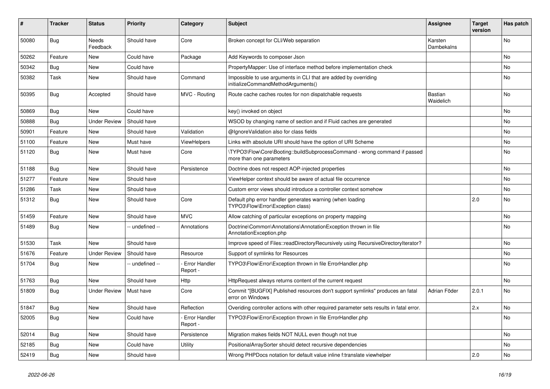| ∦     | <b>Tracker</b> | <b>Status</b>            | <b>Priority</b> | Category                         | <b>Subject</b>                                                                                        | <b>Assignee</b>             | <b>Target</b><br>version | Has patch      |
|-------|----------------|--------------------------|-----------------|----------------------------------|-------------------------------------------------------------------------------------------------------|-----------------------------|--------------------------|----------------|
| 50080 | Bug            | <b>Needs</b><br>Feedback | Should have     | Core                             | Broken concept for CLI/Web separation                                                                 | Karsten<br>Dambekalns       |                          | N <sub>o</sub> |
| 50262 | Feature        | New                      | Could have      | Package                          | Add Keywords to composer Json                                                                         |                             |                          | No             |
| 50342 | <b>Bug</b>     | New                      | Could have      |                                  | PropertyMapper: Use of interface method before implementation check                                   |                             |                          | No             |
| 50382 | Task           | New                      | Should have     | Command                          | Impossible to use arguments in CLI that are added by overriding<br>initializeCommandMethodArguments() |                             |                          | No             |
| 50395 | <b>Bug</b>     | Accepted                 | Should have     | MVC - Routing                    | Route cache caches routes for non dispatchable requests                                               | <b>Bastian</b><br>Waidelich |                          | No             |
| 50869 | Bug            | <b>New</b>               | Could have      |                                  | key() invoked on object                                                                               |                             |                          | No             |
| 50888 | Bug            | <b>Under Review</b>      | Should have     |                                  | WSOD by changing name of section and if Fluid caches are generated                                    |                             |                          | No             |
| 50901 | Feature        | <b>New</b>               | Should have     | Validation                       | @IgnoreValidation also for class fields                                                               |                             |                          | <b>No</b>      |
| 51100 | Feature        | New                      | Must have       | ViewHelpers                      | Links with absolute URI should have the option of URI Scheme                                          |                             |                          | No             |
| 51120 | <b>Bug</b>     | New                      | Must have       | Core                             | TYPO3\Flow\Core\Booting::buildSubprocessCommand - wrong command if passed<br>more than one parameters |                             |                          | No             |
| 51188 | <b>Bug</b>     | New                      | Should have     | Persistence                      | Doctrine does not respect AOP-injected properties                                                     |                             |                          | No             |
| 51277 | Feature        | New                      | Should have     |                                  | ViewHelper context should be aware of actual file occurrence                                          |                             |                          | No             |
| 51286 | Task           | New                      | Should have     |                                  | Custom error views should introduce a controller context somehow                                      |                             |                          | No             |
| 51312 | Bug            | New                      | Should have     | Core                             | Default php error handler generates warning (when loading<br>TYPO3\Flow\Error\Exception class)        |                             | 2.0                      | No             |
| 51459 | Feature        | New                      | Should have     | <b>MVC</b>                       | Allow catching of particular exceptions on property mapping                                           |                             |                          | No             |
| 51489 | <b>Bug</b>     | New                      | - undefined --  | Annotations                      | Doctrine\Common\Annotations\AnnotationException thrown in file<br>AnnotationException.php             |                             |                          | No             |
| 51530 | Task           | New                      | Should have     |                                  | Improve speed of Files::readDirectoryRecursively using RecursiveDirectoryIterator?                    |                             |                          | No             |
| 51676 | Feature        | <b>Under Review</b>      | Should have     | Resource                         | Support of symlinks for Resources                                                                     |                             |                          | <b>No</b>      |
| 51704 | <b>Bug</b>     | New                      | -- undefined -- | <b>Error Handler</b><br>Report - | TYPO3\Flow\Error\Exception thrown in file ErrorHandler.php                                            |                             |                          | No             |
| 51763 | Bug            | New                      | Should have     | Http                             | HttpRequest always returns content of the current request                                             |                             |                          | No             |
| 51809 | Bug            | <b>Under Review</b>      | Must have       | Core                             | Commit "[BUGFIX] Published resources don't support symlinks" produces an fatal<br>error on Windows    | Adrian Föder                | 2.0.1                    | No             |
| 51847 | <b>Bug</b>     | New                      | Should have     | Reflection                       | Overiding controller actions with other required parameter sets results in fatal error.               |                             | 2.x                      | No             |
| 52005 | <b>Bug</b>     | New                      | Could have      | <b>Error Handler</b><br>Report - | TYPO3\Flow\Error\Exception thrown in file ErrorHandler.php                                            |                             |                          | No             |
| 52014 | <b>Bug</b>     | <b>New</b>               | Should have     | Persistence                      | Migration makes fields NOT NULL even though not true                                                  |                             |                          | <b>No</b>      |
| 52185 | Bug            | <b>New</b>               | Could have      | Utility                          | PositionalArraySorter should detect recursive dependencies                                            |                             |                          | <b>No</b>      |
| 52419 | Bug            | New                      | Should have     |                                  | Wrong PHPDocs notation for default value inline f:translate viewhelper                                |                             | 2.0                      | No             |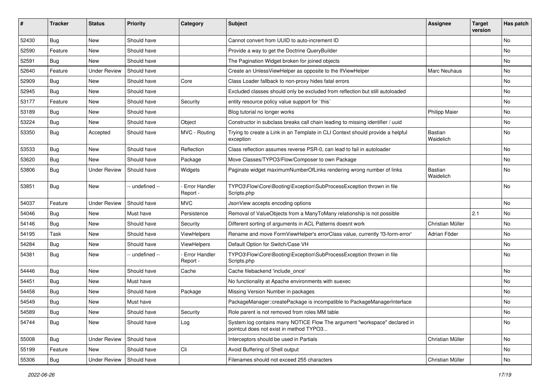| #     | <b>Tracker</b> | <b>Status</b>       | <b>Priority</b> | Category                         | <b>Subject</b>                                                                                                       | <b>Assignee</b>             | <b>Target</b><br>version | Has patch |
|-------|----------------|---------------------|-----------------|----------------------------------|----------------------------------------------------------------------------------------------------------------------|-----------------------------|--------------------------|-----------|
| 52430 | <b>Bug</b>     | <b>New</b>          | Should have     |                                  | Cannot convert from UUID to auto-increment ID                                                                        |                             |                          | No        |
| 52590 | Feature        | New                 | Should have     |                                  | Provide a way to get the Doctrine QueryBuilder                                                                       |                             |                          | No        |
| 52591 | <b>Bug</b>     | New                 | Should have     |                                  | The Pagination Widget broken for joined objects                                                                      |                             |                          | No        |
| 52640 | Feature        | <b>Under Review</b> | Should have     |                                  | Create an UnlessViewHelper as opposite to the IfViewHelper                                                           | Marc Neuhaus                |                          | No        |
| 52909 | <b>Bug</b>     | New                 | Should have     | Core                             | Class Loader fallback to non-proxy hides fatal errors                                                                |                             |                          | No        |
| 52945 | <b>Bug</b>     | New                 | Should have     |                                  | Excluded classes should only be excluded from reflection but still autoloaded                                        |                             |                          | No        |
| 53177 | Feature        | New                 | Should have     | Security                         | entity resource policy value support for `this`                                                                      |                             |                          | No        |
| 53189 | <b>Bug</b>     | New                 | Should have     |                                  | Blog tutorial no longer works                                                                                        | <b>Philipp Maier</b>        |                          | No        |
| 53224 | Bug            | New                 | Should have     | Object                           | Constructor in subclass breaks call chain leading to missing identifier / uuid                                       |                             |                          | No        |
| 53350 | <b>Bug</b>     | Accepted            | Should have     | MVC - Routing                    | Trying to create a Link in an Template in CLI Context should provide a helpful<br>exception                          | Bastian<br>Waidelich        |                          | No        |
| 53533 | Bug            | New                 | Should have     | Reflection                       | Class reflection assumes reverse PSR-0, can lead to fail in autoloader                                               |                             |                          | No        |
| 53620 | <b>Bug</b>     | New                 | Should have     | Package                          | Move Classes/TYPO3/Flow/Composer to own Package                                                                      |                             |                          | No        |
| 53806 | <b>Bug</b>     | <b>Under Review</b> | Should have     | Widgets                          | Paginate widget maximumNumberOfLinks rendering wrong number of links                                                 | <b>Bastian</b><br>Waidelich |                          | No        |
| 53851 | Bug            | New                 | -- undefined -- | <b>Error Handler</b><br>Report - | TYPO3\Flow\Core\Booting\Exception\SubProcessException thrown in file<br>Scripts.php                                  |                             |                          | No        |
| 54037 | Feature        | <b>Under Review</b> | Should have     | <b>MVC</b>                       | JsonView accepts encoding options                                                                                    |                             |                          | No        |
| 54046 | Bug            | New                 | Must have       | Persistence                      | Removal of ValueObjects from a ManyToMany relationship is not possible                                               |                             | 2.1                      | No        |
| 54146 | <b>Bug</b>     | New                 | Should have     | Security                         | Different sorting of arguments in ACL Patterns doesnt work                                                           | Christian Müller            |                          | No        |
| 54195 | Task           | New                 | Should have     | ViewHelpers                      | Rename and move FormViewHelper's errorClass value, currently 'f3-form-error'                                         | Adrian Föder                |                          | No        |
| 54284 | Bug            | New                 | Should have     | ViewHelpers                      | Default Option for Switch/Case VH                                                                                    |                             |                          | No        |
| 54381 | <b>Bug</b>     | New                 | -- undefined -- | <b>Error Handler</b><br>Report - | TYPO3\Flow\Core\Booting\Exception\SubProcessException thrown in file<br>Scripts.php                                  |                             |                          | No        |
| 54446 | Bug            | <b>New</b>          | Should have     | Cache                            | Cache filebackend 'include once'                                                                                     |                             |                          | No        |
| 54451 | <b>Bug</b>     | New                 | Must have       |                                  | No functionality at Apache environments with suexec                                                                  |                             |                          | No        |
| 54458 | Bug            | New                 | Should have     | Package                          | Missing Version Number in packages                                                                                   |                             |                          | No        |
| 54549 | Bug            | New                 | Must have       |                                  | PackageManager::createPackage is incompatible to PackageManagerInterface                                             |                             |                          | No        |
| 54589 | Bug            | New                 | Should have     | Security                         | Role parent is not removed from roles MM table                                                                       |                             |                          | NO.       |
| 54744 | Bug            | New                 | Should have     | Log                              | System.log contains many NOTICE Flow The argument "workspace" declared in<br>pointcut does not exist in method TYPO3 |                             |                          | No        |
| 55008 | Bug            | <b>Under Review</b> | Should have     |                                  | Interceptors should be used in Partials                                                                              | Christian Müller            |                          | No        |
| 55199 | Feature        | New                 | Should have     | Cli                              | Avoid Buffering of Shell output                                                                                      |                             |                          | No        |
| 55306 | Bug            | <b>Under Review</b> | Should have     |                                  | Filenames should not exceed 255 characters                                                                           | Christian Müller            |                          | No        |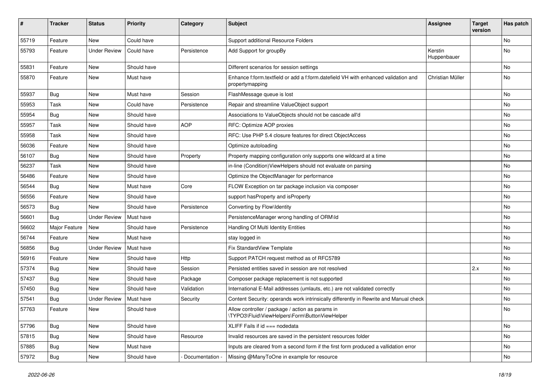| $\#$  | <b>Tracker</b> | <b>Status</b>       | <b>Priority</b> | Category        | <b>Subject</b>                                                                                        | <b>Assignee</b>        | <b>Target</b><br>version | Has patch |
|-------|----------------|---------------------|-----------------|-----------------|-------------------------------------------------------------------------------------------------------|------------------------|--------------------------|-----------|
| 55719 | Feature        | New                 | Could have      |                 | Support additional Resource Folders                                                                   |                        |                          | <b>No</b> |
| 55793 | Feature        | <b>Under Review</b> | Could have      | Persistence     | Add Support for groupBy                                                                               | Kerstin<br>Huppenbauer |                          | No        |
| 55831 | Feature        | New                 | Should have     |                 | Different scenarios for session settings                                                              |                        |                          | No        |
| 55870 | Feature        | New                 | Must have       |                 | Enhance f:form.textfield or add a f:form.datefield VH with enhanced validation and<br>propertymapping | Christian Müller       |                          | No        |
| 55937 | Bug            | New                 | Must have       | Session         | FlashMessage queue is lost                                                                            |                        |                          | No        |
| 55953 | Task           | New                 | Could have      | Persistence     | Repair and streamline ValueObject support                                                             |                        |                          | No        |
| 55954 | Bug            | New                 | Should have     |                 | Associations to ValueObjects should not be cascade all'd                                              |                        |                          | No        |
| 55957 | Task           | New                 | Should have     | <b>AOP</b>      | RFC: Optimize AOP proxies                                                                             |                        |                          | No        |
| 55958 | Task           | New                 | Should have     |                 | RFC: Use PHP 5.4 closure features for direct ObjectAccess                                             |                        |                          | <b>No</b> |
| 56036 | Feature        | New                 | Should have     |                 | Optimize autoloading                                                                                  |                        |                          | No        |
| 56107 | <b>Bug</b>     | New                 | Should have     | Property        | Property mapping configuration only supports one wildcard at a time                                   |                        |                          | No        |
| 56237 | Task           | New                 | Should have     |                 | in-line (Condition)ViewHelpers should not evaluate on parsing                                         |                        |                          | No        |
| 56486 | Feature        | New                 | Should have     |                 | Optimize the ObjectManager for performance                                                            |                        |                          | No        |
| 56544 | <b>Bug</b>     | New                 | Must have       | Core            | FLOW Exception on tar package inclusion via composer                                                  |                        |                          | No        |
| 56556 | Feature        | New                 | Should have     |                 | support hasProperty and isProperty                                                                    |                        |                          | No        |
| 56573 | <b>Bug</b>     | New                 | Should have     | Persistence     | Converting by Flow\Identity                                                                           |                        |                          | No        |
| 56601 | Bug            | Under Review        | Must have       |                 | PersistenceManager wrong handling of ORM\ld                                                           |                        |                          | <b>No</b> |
| 56602 | Major Feature  | New                 | Should have     | Persistence     | Handling Of Multi Identity Entities                                                                   |                        |                          | No        |
| 56744 | Feature        | New                 | Must have       |                 | stay logged in                                                                                        |                        |                          | No        |
| 56856 | Bug            | <b>Under Review</b> | Must have       |                 | Fix StandardView Template                                                                             |                        |                          | No        |
| 56916 | Feature        | New                 | Should have     | Http            | Support PATCH request method as of RFC5789                                                            |                        |                          | No        |
| 57374 | Bug            | New                 | Should have     | Session         | Persisted entities saved in session are not resolved                                                  |                        | 2.x                      | <b>No</b> |
| 57437 | <b>Bug</b>     | New                 | Should have     | Package         | Composer package replacement is not supported                                                         |                        |                          | No        |
| 57450 | Bug            | New                 | Should have     | Validation      | International E-Mail addresses (umlauts, etc.) are not validated correctly                            |                        |                          | No        |
| 57541 | <b>Bug</b>     | <b>Under Review</b> | Must have       | Security        | Content Security: operands work intrinsically differently in Rewrite and Manual check                 |                        |                          | No        |
| 57763 | Feature        | New                 | Should have     |                 | Allow controller / package / action as params in<br>\TYPO3\Fluid\ViewHelpers\Form\ButtonViewHelper    |                        |                          | No        |
| 57796 | <b>Bug</b>     | New                 | Should have     |                 | XLIFF Fails if id === nodedata                                                                        |                        |                          | No        |
| 57815 | Bug            | New                 | Should have     | Resource        | Invalid resources are saved in the persistent resources folder                                        |                        |                          | No        |
| 57885 | Bug            | New                 | Must have       |                 | Inputs are cleared from a second form if the first form produced a vallidation error                  |                        |                          | No        |
| 57972 | Bug            | New                 | Should have     | Documentation - | Missing @ManyToOne in example for resource                                                            |                        |                          | No        |